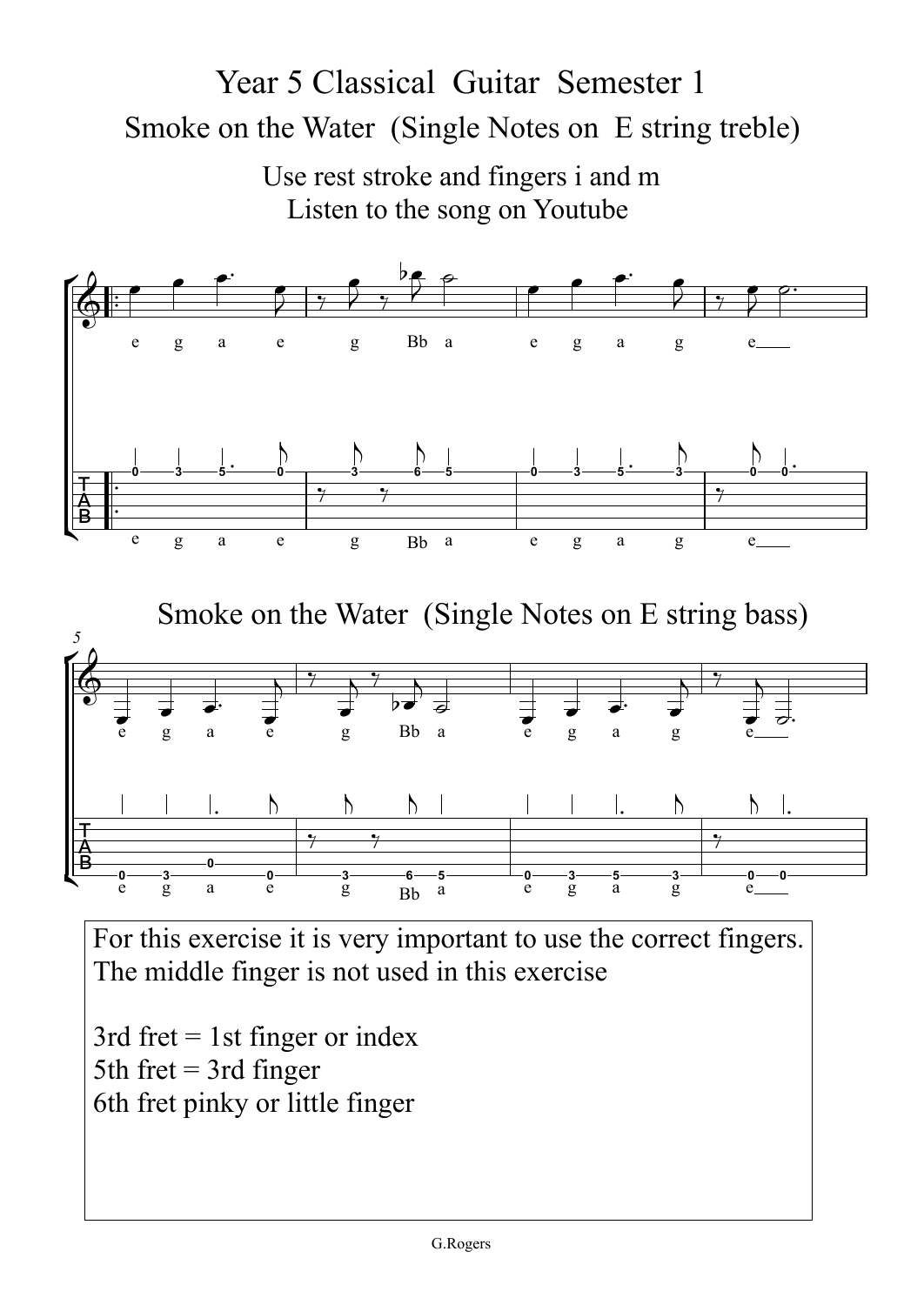## Smoke on the Water (Single Notes on E string treble) Year 5 Classical Guitar Semester 1

Use rest stroke and fingers i and m Listen to the song on Youtube